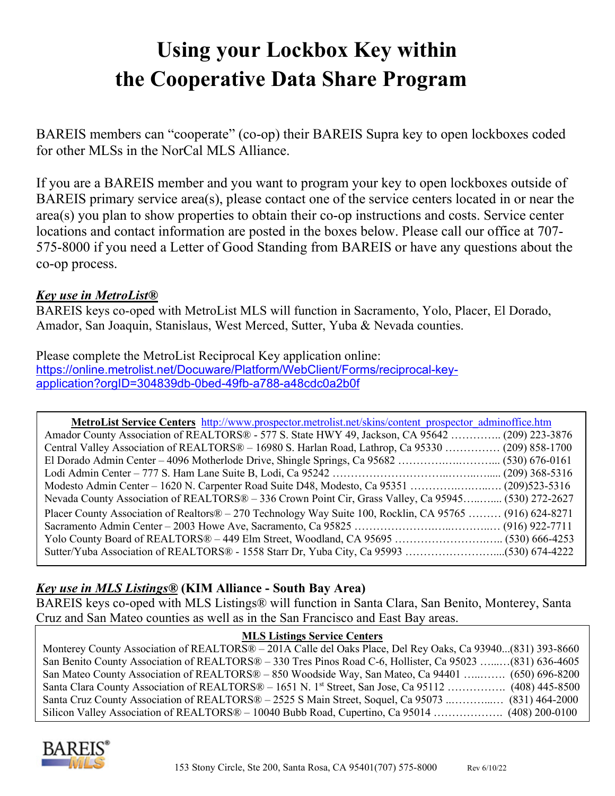# **Using your Lockbox Key within the Cooperative Data Share Program**

BAREIS members can "cooperate" (co-op) their BAREIS Supra key to open lockboxes coded for other MLSs in the NorCal MLS Alliance.

If you are a BAREIS member and you want to program your key to open lockboxes outside of BAREIS primary service area(s), please contact one of the service centers located in or near the area(s) you plan to show properties to obtain their co-op instructions and costs. Service center locations and contact information are posted in the boxes below. Please call our office at 707- 575-8000 if you need a Letter of Good Standing from BAREIS or have any questions about the co-op process.

## *Key use in MetroList®*

BAREIS keys co-oped with MetroList MLS will function in Sacramento, Yolo, Placer, El Dorado, Amador, San Joaquin, Stanislaus, West Merced, Sutter, Yuba & Nevada counties.

Please complete the MetroList Reciprocal Key application online: [https://online.metrolist.net/Docuware/Platform/WebClient/Forms/reciprocal-key](https://online.metrolist.net/Docuware/Platform/WebClient/Forms/reciprocal-key-application?orgID=304839db-0bed-49fb-a788-a48cdc0a2b0f)[application?orgID=304839db-0bed-49fb-a788-a48cdc0a2b0f](https://online.metrolist.net/Docuware/Platform/WebClient/Forms/reciprocal-key-application?orgID=304839db-0bed-49fb-a788-a48cdc0a2b0f)

| MetroList Service Centers http://www.prospector.metrolist.net/skins/content prospector adminoffice.htm   |  |
|----------------------------------------------------------------------------------------------------------|--|
| Amador County Association of REALTORS® - 577 S. State HWY 49, Jackson, CA 95642  (209) 223-3876          |  |
| Central Valley Association of REALTORS® - 16980 S. Harlan Road, Lathrop, Ca 95330  (209) 858-1700        |  |
|                                                                                                          |  |
|                                                                                                          |  |
|                                                                                                          |  |
| Nevada County Association of REALTORS® – 336 Crown Point Cir, Grass Valley, Ca 95945 (530) 272-2627      |  |
| Placer County Association of Realtors® – 270 Technology Way Suite 100, Rocklin, CA 95765  (916) 624-8271 |  |
|                                                                                                          |  |
|                                                                                                          |  |
|                                                                                                          |  |

# *Key use in MLS Listings®* **(KIM Alliance - South Bay Area)**

BAREIS keys co-oped with MLS Listings® will function in Santa Clara, San Benito, Monterey, Santa Cruz and San Mateo counties as well as in the San Francisco and East Bay areas.

#### **MLS Listings Service Centers**

Monterey County Association of REALTORS® – 201A Calle del Oaks Place, Del Rey Oaks, Ca 93940...(831) 393-8660 San Benito County Association of REALTORS® – 330 Tres Pinos Road C-6, Hollister, Ca 95023 …...…(831) 636-4605 San Mateo County Association of REALTORS® – 850 Woodside Way, San Mateo, Ca 94401 …..……. (650) 696-8200 Santa Clara County Association of REALTORS® – 1651 N. 1<sup>st</sup> Street, San Jose, Ca 95112 ……………. (408) 445-8500 Santa Cruz County Association of REALTORS® – 2525 S Main Street, Soquel, Ca 95073 ..………...… (831) 464-2000 Silicon Valley Association of REALTORS® – 10040 Bubb Road, Cupertino, Ca 95014 ……………….. (408) 200-0100